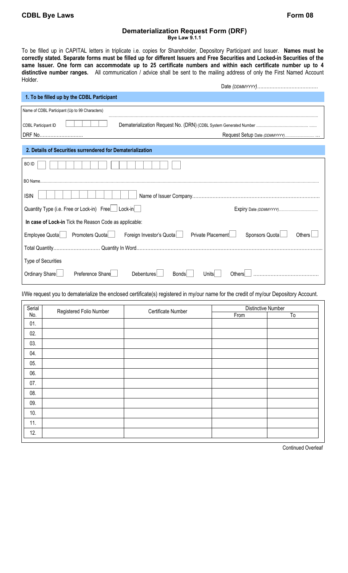I

## **Dematerialization Request Form (DRF)**

**Bye Law 9.1.1** 

To be filled up in CAPITAL letters in triplicate i.e. copies for Shareholder, Depository Participant and Issuer. **Names must be correctly stated. Separate forms must be filled up for different Issuers and Free Securities and Locked-in Securities of the same Issuer. One form can accommodate up to 25 certificate numbers and within each certificate number up to 4 distinctive number ranges.** All communication / advice shall be sent to the mailing address of only the First Named Account Holder. Date *(DDMMYYYY)…………………………………* 

| 1. To be filled up by the CDBL Participant                                                 |                                 |  |  |  |  |
|--------------------------------------------------------------------------------------------|---------------------------------|--|--|--|--|
| Name of CDBL Participant (Up to 99 Characters)                                             |                                 |  |  |  |  |
| <b>CDBL Participant ID</b>                                                                 |                                 |  |  |  |  |
| DRF No                                                                                     |                                 |  |  |  |  |
| 2. Details of Securities surrendered for Dematerialization                                 |                                 |  |  |  |  |
| <b>BOID</b>                                                                                |                                 |  |  |  |  |
|                                                                                            |                                 |  |  |  |  |
| <b>ISIN</b>                                                                                |                                 |  |  |  |  |
| Quantity Type (i.e. Free or Lock-in) Free   Lock-in                                        |                                 |  |  |  |  |
| In case of Lock-in Tick the Reason Code as applicable:                                     |                                 |  |  |  |  |
| Private PlacementL<br>Employee Quota<br>Promoters Quota<br>Foreign Investor's Quota        | Sponsors Quota<br><b>Others</b> |  |  |  |  |
|                                                                                            |                                 |  |  |  |  |
| Type of Securities                                                                         |                                 |  |  |  |  |
| Preference Share<br>Ordinary Share<br><b>Debentures</b><br><b>Bonds</b><br>Others<br>Units |                                 |  |  |  |  |

I/We request you to dematerialize the enclosed certificate(s) registered in my/our name for the credit of my/our Depository Account.

| Serial<br>No. | Registered Folio Number | Certificate Number | <b>Distinctive Number</b> |    |
|---------------|-------------------------|--------------------|---------------------------|----|
|               |                         |                    | From                      | To |
| 01.           |                         |                    |                           |    |
| 02.           |                         |                    |                           |    |
| 03.           |                         |                    |                           |    |
| 04.           |                         |                    |                           |    |
| 05.           |                         |                    |                           |    |
| 06.           |                         |                    |                           |    |
| 07.           |                         |                    |                           |    |
| 08.           |                         |                    |                           |    |
| 09.           |                         |                    |                           |    |
| 10.           |                         |                    |                           |    |
| 11.           |                         |                    |                           |    |
| 12.           |                         |                    |                           |    |

Continued Overleaf